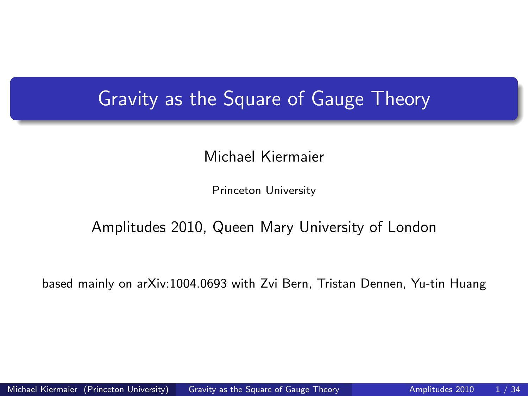## Gravity as the Square of Gauge Theory

Michael Kiermaier

<span id="page-0-0"></span>Princeton University

### Amplitudes 2010, Queen Mary University of London

based mainly on arXiv:1004.0693 with Zvi Bern, Tristan Dennen, Yu-tin Huang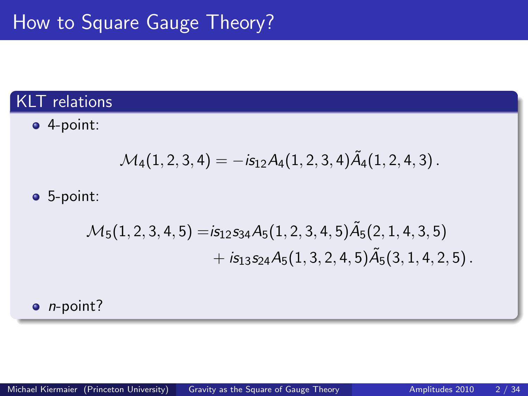## KLT relations

4-point:

$$
\mathcal{M}_4(1,2,3,4)=-i\mathsf{s}_{12}\mathcal{A}_4(1,2,3,4)\tilde{\mathcal{A}}_4(1,2,4,3)\,.
$$

### 5-point:

$$
\mathcal{M}_5(1,2,3,4,5) = is_{12}s_{34}A_5(1,2,3,4,5)\tilde{A}_5(2,1,4,3,5) + is_{13}s_{24}A_5(1,3,2,4,5)\tilde{A}_5(3,1,4,2,5).
$$

 $\bullet$  *n*-point?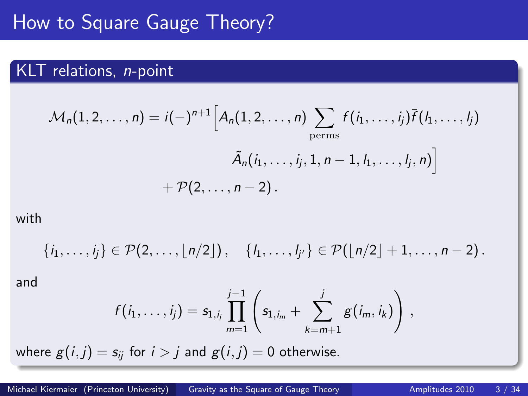## How to Square Gauge Theory?

## KLT relations, *n*-point

$$
\mathcal{M}_n(1,2,\ldots,n) = i(-)^{n+1} \Big[ A_n(1,2,\ldots,n) \sum_{\text{perms}} f(i_1,\ldots,i_j) \overline{f}(l_1,\ldots,l_j) + \mathcal{P}(2,\ldots,n-2).
$$

with

$$
\{i_1,\ldots,i_j\}\in\mathcal{P}(2,\ldots,\lfloor n/2\rfloor),\quad \{i_1,\ldots,i_{j'}\}\in\mathcal{P}(\lfloor n/2\rfloor+1,\ldots,n-2).
$$

and

$$
f(i_1,\ldots,i_j) = s_{1,i_j} \prod_{m=1}^{j-1} \left( s_{1,i_m} + \sum_{k=m+1}^j g(i_m,i_k) \right) ,
$$

where  $g(i, j) = s_{ij}$  for  $i > j$  and  $g(i, j) = 0$  otherwise.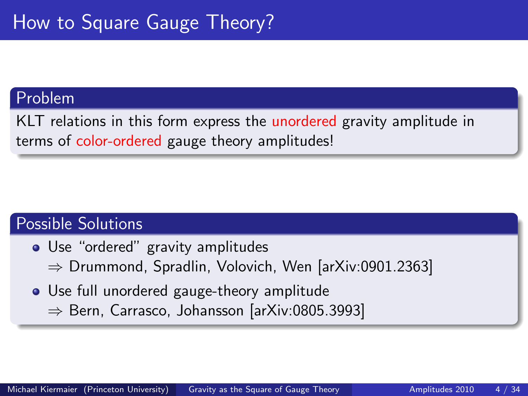### Problem

KLT relations in this form express the unordered gravity amplitude in terms of color-ordered gauge theory amplitudes!

## Possible Solutions

- Use "ordered" gravity amplitudes  $\Rightarrow$  Drummond, Spradlin, Volovich, Wen [arXiv:0901.2363]
- Use full unordered gauge-theory amplitude ⇒ Bern, Carrasco, Johansson [arXiv:0805.3993]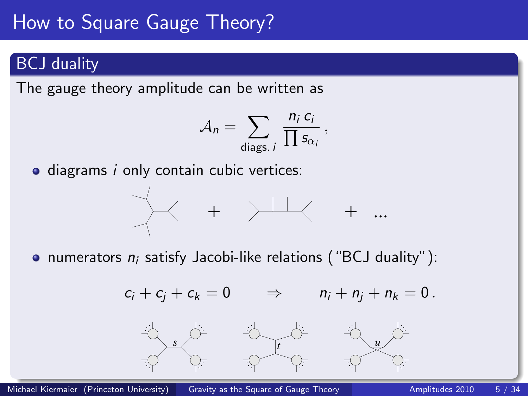# How to Square Gauge Theory?

## BCJ duality

The gauge theory amplitude can be written as

$$
A_n = \sum_{\text{diags. } i} \frac{n_i c_i}{\prod s_{\alpha_i}},
$$

• diagrams *i* only contain cubic vertices:



• numerators  $n_i$  satisfy Jacobi-like relations ("BCJ duality"):

$$
c_i+c_j+c_k=0\qquad\Rightarrow\qquad n_i+n_j+n_k=0\,.
$$

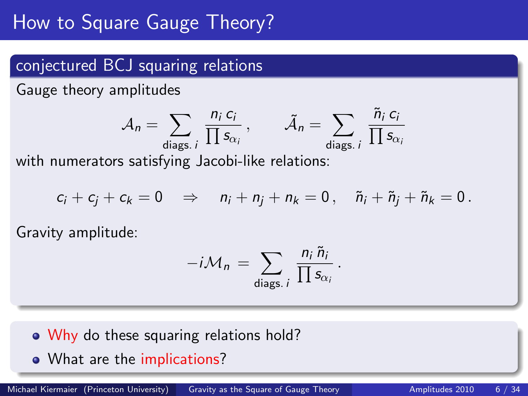# How to Square Gauge Theory?

## conjectured BCJ squaring relations

Gauge theory amplitudes

$$
A_n = \sum_{\text{diags. } i} \frac{n_i c_i}{\prod s_{\alpha_i}}, \qquad \tilde{A}_n = \sum_{\text{diags. } i} \frac{\tilde{n}_i c_i}{\prod s_{\alpha_i}}
$$

with numerators satisfying Jacobi-like relations:

$$
c_i+c_j+c_k=0\quad\Rightarrow\quad n_i+n_j+n_k=0\,,\quad \tilde n_i+\tilde n_j+\tilde n_k=0\,.
$$

Gravity amplitude:

$$
-i\mathcal{M}_n = \sum_{\text{diags. } i} \frac{n_i \tilde{n}_i}{\prod s_{\alpha_i}}.
$$

- Why do these squaring relations hold?
- What are the implications?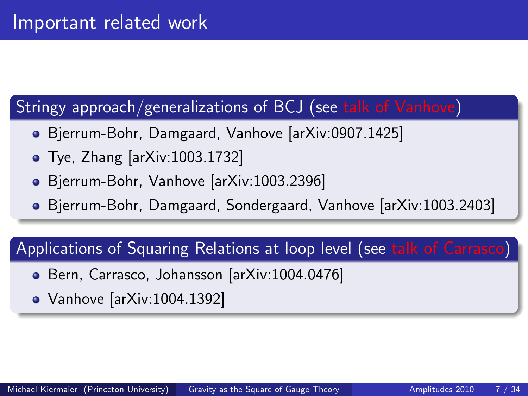## Stringy approach/generalizations of BCJ (see talk of Vanhove)

- Bjerrum-Bohr, Damgaard, Vanhove [arXiv:0907.1425]
- Tye, Zhang [arXiv:1003.1732]
- Bjerrum-Bohr, Vanhove [arXiv:1003.2396]
- Bjerrum-Bohr, Damgaard, Sondergaard, Vanhove [arXiv:1003.2403]

## Applications of Squaring Relations at loop level (see talk of Carrasco)

- Bern, Carrasco, Johansson [arXiv:1004.0476]
- Vanhove [arXiv:1004.1392]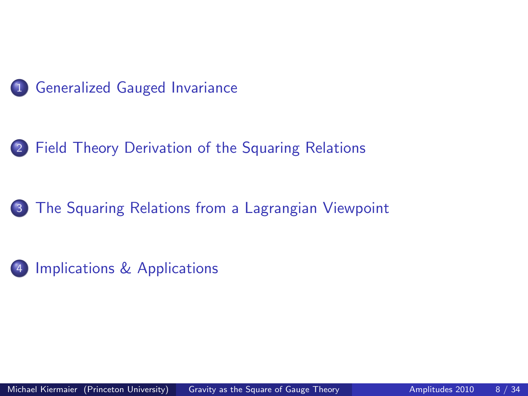

## 2 [Field Theory Derivation of the Squaring Relations](#page-11-0)

## 3 [The Squaring Relations from a Lagrangian Viewpoint](#page-17-0)



[Implications & Applications](#page-21-0)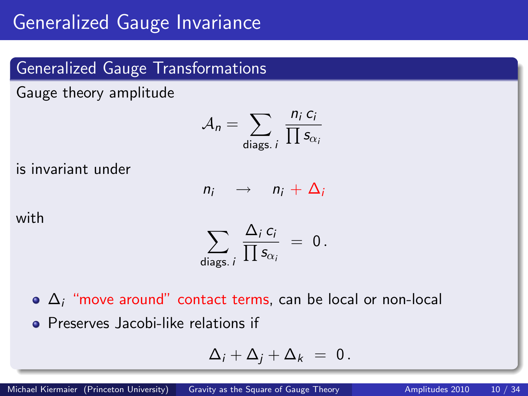## Generalized Gauge Transformations

Gauge theory amplitude

$$
A_n = \sum_{\text{diags. } i} \frac{n_i c_i}{\prod s_{\alpha_i}}
$$

is invariant under

$$
n_i \rightarrow n_i + \Delta_i
$$

with

$$
\sum_{\text{diags. } i} \frac{\Delta_i c_i}{\prod s_{\alpha_i}} = 0.
$$

 $\bullet$   $\Delta_i$  "move around" contact terms, can be local or non-local **• Preserves Jacobi-like relations if** 

<span id="page-8-0"></span>
$$
\Delta_i + \Delta_j + \Delta_k = 0.
$$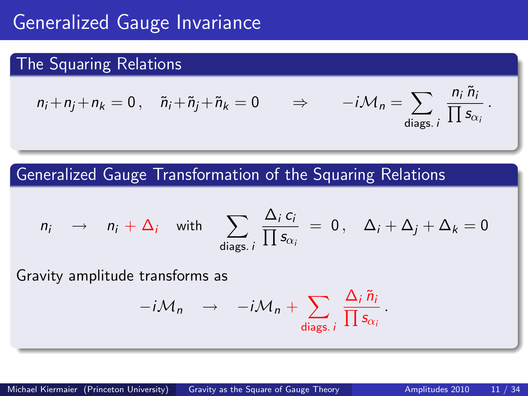## Generalized Gauge Invariance

## The Squaring Relations

$$
n_i + n_j + n_k = 0, \quad \tilde{n}_i + \tilde{n}_j + \tilde{n}_k = 0 \qquad \Rightarrow \qquad -i\mathcal{M}_n = \sum_{\text{diags. } i} \frac{n_i \tilde{n}_i}{\prod s_{\alpha_i}}.
$$

Generalized Gauge Transformation of the Squaring Relations

$$
n_i \rightarrow n_i + \Delta_i \text{ with } \sum_{\text{diags. } i} \frac{\Delta_i c_i}{\prod s_{\alpha_i}} = 0, \quad \Delta_i + \Delta_j + \Delta_k = 0
$$

Gravity amplitude transforms as

$$
-i\mathcal{M}_n \quad \rightarrow \quad -i\mathcal{M}_n + \sum_{\text{diags. } i} \frac{\Delta_i \tilde{n}_i}{\prod s_{\alpha_i}}
$$

.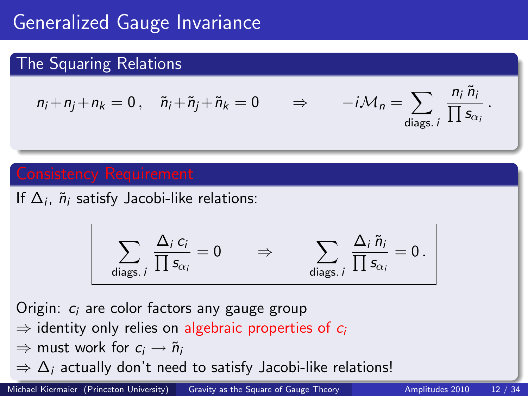# Generalized Gauge Invariance

## The Squaring Relations

$$
n_i + n_j + n_k = 0, \quad \tilde{n}_i + \tilde{n}_j + \tilde{n}_k = 0 \qquad \Rightarrow \qquad -i\mathcal{M}_n = \sum_{\text{diags. } i} \frac{n_i \tilde{n}_i}{\prod s_{\alpha_i}}.
$$

If  $\Delta_i$ ,  $\tilde{n}_i$  satisfy Jacobi-like relations:

$$
\sum_{\text{diags. }i} \frac{\Delta_i c_i}{\prod s_{\alpha_i}} = 0 \qquad \Rightarrow \qquad \sum_{\text{diags. }i} \frac{\Delta_i \tilde{n}_i}{\prod s_{\alpha_i}} = 0 \, .
$$

Origin:  $c_i$  are color factors any gauge group

- $\Rightarrow$  identity only relies on algebraic properties of  $c_i$
- $\Rightarrow$  must work for  $c_i \rightarrow \tilde{n}_i$
- $\Rightarrow$   $\Delta_i$  actually don't need to satisfy Jacobi-like relations!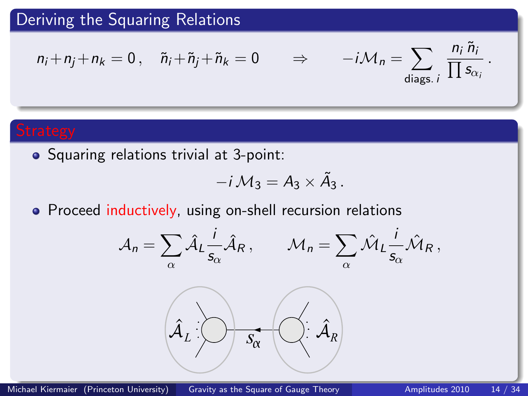$$
n_i + n_j + n_k = 0, \quad \tilde{n}_i + \tilde{n}_j + \tilde{n}_k = 0 \qquad \Rightarrow \qquad -i\mathcal{M}_n = \sum_{\text{diags. } i} \frac{n_i \tilde{n}_i}{\prod s_{\alpha_i}}.
$$

• Squaring relations trivial at 3-point:

$$
-i\mathcal{M}_3=A_3\times \tilde{A}_3.
$$

• Proceed inductively, using on-shell recursion relations

$$
\mathcal{A}_n = \sum_{\alpha} \hat{\mathcal{A}}_L \frac{i}{s_{\alpha}} \hat{\mathcal{A}}_R, \qquad \mathcal{M}_n = \sum_{\alpha} \hat{\mathcal{M}}_L \frac{i}{s_{\alpha}} \hat{\mathcal{M}}_R,
$$

<span id="page-11-0"></span>
$$
\hat{\mathcal{A}}_L:\bigcirc\rightarrow s_{\alpha}\ \left(\bigcirc\colon\hat{\mathcal{A}}_R\right)
$$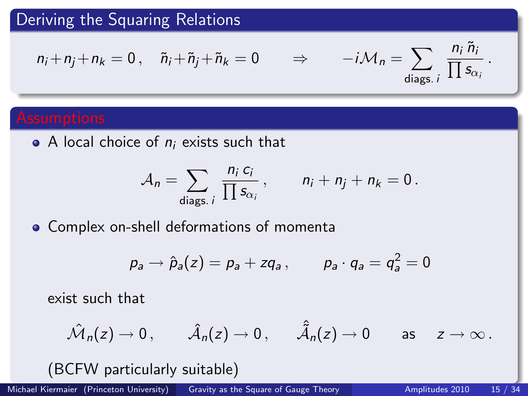$$
n_i + n_j + n_k = 0 \,, \quad \tilde{n}_i + \tilde{n}_j + \tilde{n}_k = 0 \qquad \Rightarrow \qquad -i\mathcal{M}_n = \sum_{\text{diags. } i} \frac{n_i \tilde{n}_i}{\prod s_{\alpha_i}} \,.
$$

 $\bullet$  A local choice of  $n_i$  exists such that

$$
\mathcal{A}_n = \sum_{\text{diags. } i} \frac{n_i c_i}{\prod s_{\alpha_i}}, \qquad n_i + n_j + n_k = 0.
$$

Complex on-shell deformations of momenta

$$
p_a \rightarrow \hat{p}_a(z) = p_a + zq_a \,, \qquad p_a \cdot q_a = q_a^2 = 0
$$

exist such that

$$
\hat{\mathcal{M}}_n(z)\to 0\,,\qquad \hat{\mathcal{A}}_n(z)\to 0\,,\qquad \hat{\hat{\mathcal{A}}}_n(z)\to 0\qquad\text{as}\quad z\to\infty\,.
$$

(BCFW particularly suitable)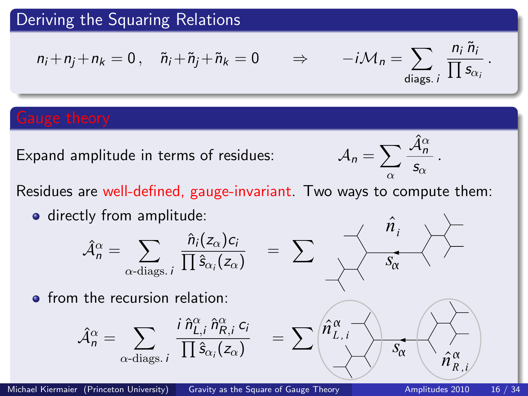$$
n_i + n_j + n_k = 0 \,, \quad \tilde{n}_i + \tilde{n}_j + \tilde{n}_k = 0 \qquad \Rightarrow \qquad -i\mathcal{M}_n = \sum_{\text{diags. } i} \frac{n_i \tilde{n}_i}{\prod s_{\alpha_i}} \,.
$$

Expand amplitude in terms of residues:

$$
\mathcal{A}_n = \sum_{\alpha} \frac{\hat{\mathcal{A}}_n^{\alpha}}{s_{\alpha}}.
$$

Residues are well-defined, gauge-invariant. Two ways to compute them:

**o** directly from amplitude:

$$
\hat{\mathcal{A}}_n^{\alpha} = \sum_{\alpha \text{-diags. } i} \frac{\hat{n}_i(z_{\alpha})c_i}{\prod \hat{s}_{\alpha_i}(z_{\alpha})}
$$

• from the recursion relation:

$$
\hat{\mathcal{A}}^{\alpha}_{n} = \sum_{\alpha \text{-diags. } i} \frac{i \,\hat{n}^{\alpha}_{L,i} \,\hat{n}^{\alpha}_{R,i} \, c_{i}}{\prod \hat{s}_{\alpha_{i}}(z_{\alpha})}
$$

 $=$   $\sum$  $s_{\alpha}$ <sup>-</sup>  $\hat{n}^{}_{i}$  $\hat{\bm{\eta}}_{_i}$ =  $\sum$  $S_{\alpha}$  $\hat{n}_{L, i}^{\alpha}$  —  $\hat{n}_{R \, , \, i}^{\alpha} \rangle$  $\hat{\hat{\eta}}_{R}^{\alpha}$  ;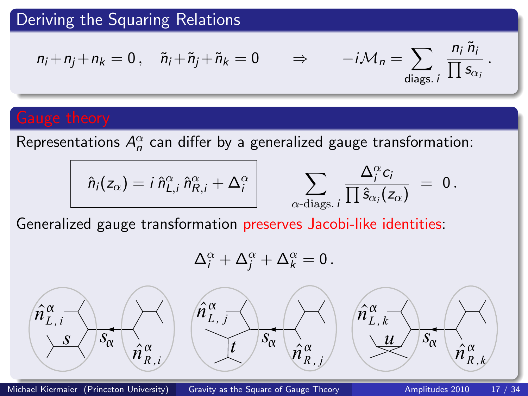$$
n_i + n_j + n_k = 0, \quad \tilde{n}_i + \tilde{n}_j + \tilde{n}_k = 0 \quad \Rightarrow \quad -i\mathcal{M}_n = \sum_{\text{diags. } i} \frac{n_i \tilde{n}_i}{\prod s_{\alpha_i}}.
$$

Representations  $A_n^\alpha$  can differ by a generalized gauge transformation:

$$
\hat{n}_i(z_\alpha) = i \,\hat{n}_{L,i}^\alpha \,\hat{n}_{R,i}^\alpha + \Delta_i^\alpha
$$

$$
\sum_{\alpha\text{-diags. }i}\frac{\Delta_i^\alpha c_i}{\prod \hat s_{\alpha_i}(z_\alpha)} ~=~ 0{\,}.
$$

Generalized gauge transformation preserves Jacobi-like identities:

$$
\Delta_i^{\alpha} + \Delta_j^{\alpha} + \Delta_k^{\alpha} = 0.
$$



 $s$   $\sqrt{s_{\alpha}}$   $\hat{n}_{R,i}^{\alpha}$   $t$   $s_{\alpha}$   $\hat{n}$  $\hat{n}^{\alpha}$ <sub>*r*</sub>  $\hat{n}_{R,\:j}^{\alpha}$ 

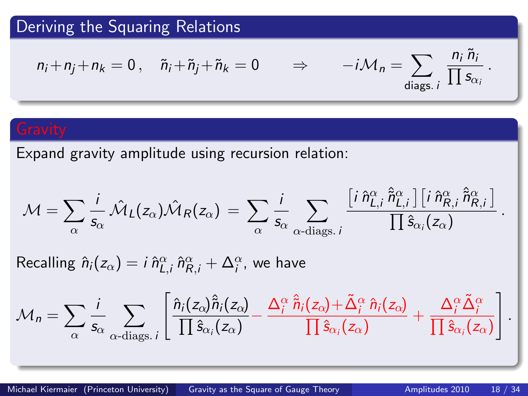$$
n_i + n_j + n_k = 0 \,, \quad \tilde{n}_i + \tilde{n}_j + \tilde{n}_k = 0 \qquad \Rightarrow \qquad -i\mathcal{M}_n = \sum_{\text{diags. } i} \frac{n_i \tilde{n}_i}{\prod s_{\alpha_i}} \,.
$$

Expand gravity amplitude using recursion relation:

$$
\mathcal{M} = \sum_{\alpha} \frac{i}{s_{\alpha}} \hat{\mathcal{M}}_{L}(z_{\alpha}) \hat{\mathcal{M}}_{R}(z_{\alpha}) = \sum_{\alpha} \frac{i}{s_{\alpha}} \sum_{\alpha \text{-diags. } i} \frac{\left[i \hat{n}_{L,i}^{\alpha} \hat{\tilde{n}}_{L,i}^{\alpha}\right] \left[i \hat{n}_{R,i}^{\alpha} \hat{\tilde{n}}_{R,i}^{\alpha}\right]}{\prod \hat{s}_{\alpha_i}(z_{\alpha})}.
$$

Recalling  $\hat{n}_i(z_\alpha)=i\,\hat{n}_{L,i}^\alpha\,\hat{n}_{R,i}^\alpha+\Delta_i^\alpha$ , we have

$$
\mathcal{M}_n = \sum_{\alpha} \frac{i}{s_{\alpha}} \sum_{\alpha \text{-diags. } i} \left[ \frac{\hat{n}_i(z_{\alpha}) \hat{\vec{n}}_i(z_{\alpha})}{\prod \hat{s}_{\alpha_i}(z_{\alpha})} - \frac{\Delta_i^{\alpha} \hat{\vec{n}}_i(z_{\alpha}) + \tilde{\Delta}_i^{\alpha} \hat{n}_i(z_{\alpha})}{\prod \hat{s}_{\alpha_i}(z_{\alpha})} + \frac{\Delta_i^{\alpha} \tilde{\Delta}_i^{\alpha}}{\prod \hat{s}_{\alpha_i}(z_{\alpha})} \right].
$$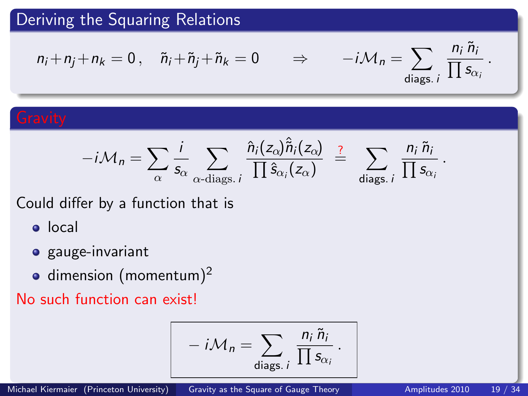## Deriving the Squaring Relations

$$
n_i + n_j + n_k = 0 \,, \quad \tilde{n}_i + \tilde{n}_j + \tilde{n}_k = 0 \qquad \Rightarrow \qquad -i\mathcal{M}_n = \sum_{\text{diags. } i} \frac{n_i \tilde{n}_i}{\prod s_{\alpha_i}} \,.
$$

$$
-i\mathcal{M}_n = \sum_{\alpha} \frac{i}{s_{\alpha}} \sum_{\alpha \text{-diags. } i} \frac{\hat{n}_i(z_{\alpha}) \hat{\tilde{n}}_i(z_{\alpha})}{\prod \hat{s}_{\alpha_i}(z_{\alpha})} \stackrel{?}{=} \sum_{\text{diags. } i} \frac{n_i \tilde{n}_i}{\prod s_{\alpha_i}}.
$$

Could differ by a function that is

- local
- **·** gauge-invariant
- $\bullet$  dimension (momentum)<sup>2</sup>

No such function can exist!

$$
-i\mathcal{M}_n = \sum_{\text{diags. }i} \frac{n_i \tilde{n}_i}{\prod s_{\alpha_i}}.
$$

Michael Kiermaier (Princeton University) [Gravity as the Square of Gauge Theory](#page-0-0) **Amplitudes 2010** 19 / 34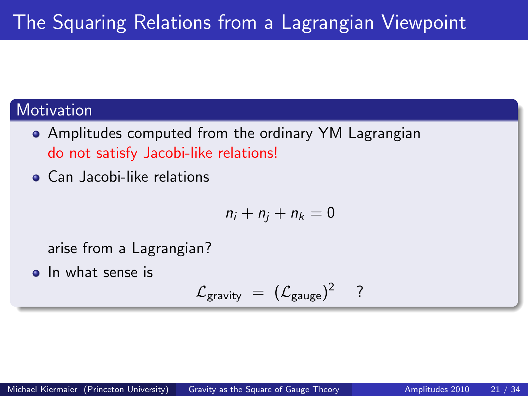## **Motivation**

- Amplitudes computed from the ordinary YM Lagrangian do not satisfy Jacobi-like relations!
- **Can Jacobi-like relations**

$$
n_i+n_j+n_k=0
$$

arise from a Lagrangian?

**o** In what sense is

<span id="page-17-0"></span>
$$
\mathcal{L}_{gravity} = (\mathcal{L}_{gauge})^2 \quad ?
$$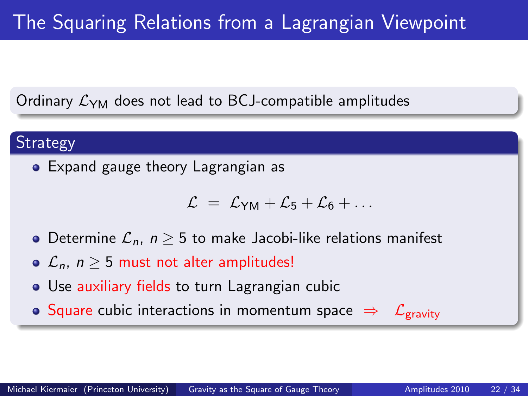# The Squaring Relations from a Lagrangian Viewpoint

Ordinary  $\mathcal{L}_{YM}$  does not lead to BCJ-compatible amplitudes

### **Strategy**

Expand gauge theory Lagrangian as

$$
\mathcal{L} = \mathcal{L}_{YM} + \mathcal{L}_5 + \mathcal{L}_6 + \ldots
$$

- Determine  $\mathcal{L}_n$ ,  $n \geq 5$  to make Jacobi-like relations manifest
- $\mathcal{L}_n$ ,  $n > 5$  must not alter amplitudes!
- Use auxiliary fields to turn Lagrangian cubic

• Square cubic interactions in momentum space  $\Rightarrow \mathcal{L}_{gravity}$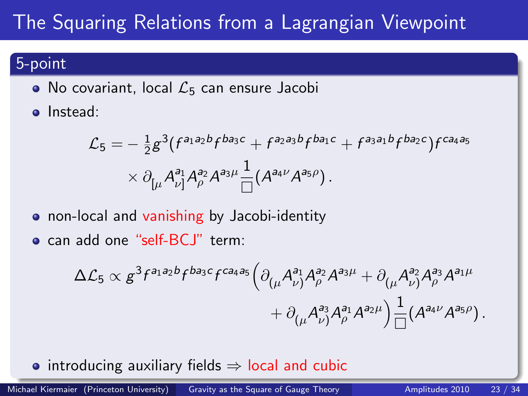# The Squaring Relations from a Lagrangian Viewpoint

## 5-point

- No covariant, local  $\mathcal{L}_5$  can ensure Jacobi
- **o** Instead:

$$
\mathcal{L}_5 = -\frac{1}{2} g^3 (f^{a_1 a_2 b} f^{b a_3 c} + f^{a_2 a_3 b} f^{b a_1 c} + f^{a_3 a_1 b} f^{b a_2 c}) f^{c a_4 a_5} \times \partial_{\lbrack \mu} A_{\nu}^{a_1} A_{\rho}^{a_2} A^{a_3 \mu} \frac{1}{\Box} (A^{a_4 \nu} A^{a_5 \rho}).
$$

- **•** non-local and vanishing by Jacobi-identity
- can add one "self-BCJ" term:

$$
\begin{aligned} \Delta \mathcal{L}_5 & \propto g^{3} f^{a_1 a_2 b} f^{b a_3 c} f^{c a_4 a_5} \Big( \partial_{(\mu} A_{\nu)}^{a_1} A_{\rho}^{a_2} A^{a_3 \mu} + \partial_{(\mu} A_{\nu)}^{a_2} A_{\rho}^{a_3} A^{a_1 \mu} \\ & + \partial_{(\mu} A_{\nu)}^{a_3} A_{\rho}^{a_1} A^{a_2 \mu} \Big) \frac{1}{\Box} (A^{a_4 \nu} A^{a_5 \rho}). \end{aligned}
$$

• introducing auxiliary fields  $\Rightarrow$  local and cubic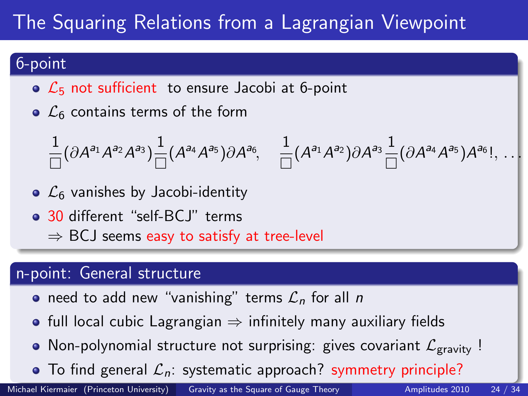# The Squaring Relations from a Lagrangian Viewpoint

## 6-point

- $\circ$   $\mathcal{L}_5$  not sufficient to ensure Jacobi at 6-point
- $\circ$   $\mathcal{L}_6$  contains terms of the form

$$
\frac{1}{\Box}(\partial A^{a_1}A^{a_2}A^{a_3})\frac{1}{\Box}(A^{a_4}A^{a_5})\partial A^{a_6},\quad \frac{1}{\Box}(A^{a_1}A^{a_2})\partial A^{a_3}\frac{1}{\Box}(\partial A^{a_4}A^{a_5})A^{a_6}!,\,\ldots
$$

- $\circ$   $\mathcal{L}_6$  vanishes by Jacobi-identity
- 30 different "self-BCJ" terms
	- $\Rightarrow$  BCJ seems easy to satisfy at tree-level

### n-point: General structure

- need to add new "vanishing" terms  $\mathcal{L}_n$  for all n
- full local cubic Lagrangian  $\Rightarrow$  infinitely many auxiliary fields
- Non-polynomial structure not surprising: gives covariant  $\mathcal{L}_{\text{gravity}}$ !
- $\bullet$  To find general  $\mathcal{L}_n$ : systematic approach? symmetry principle?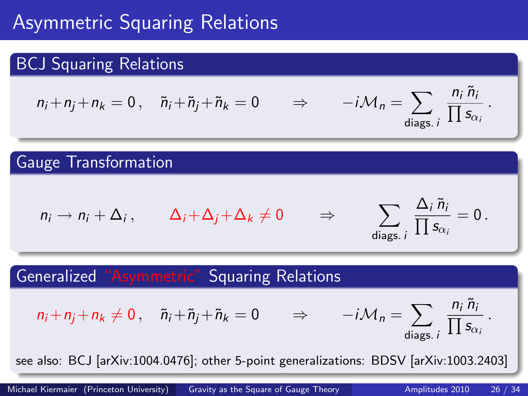# Asymmetric Squaring Relations

## BCJ Squaring Relations

$$
n_i + n_j + n_k = 0, \quad \tilde{n}_i + \tilde{n}_j + \tilde{n}_k = 0 \qquad \Rightarrow \qquad -i\mathcal{M}_n = \sum_{\text{diags. } i} \frac{n_i \tilde{n}_i}{\prod s_{\alpha_i}}.
$$

## Gauge Transformation

$$
n_i \to n_i + \Delta_i \,, \qquad \Delta_i + \Delta_j + \Delta_k \neq 0 \qquad \Rightarrow
$$

<span id="page-21-0"></span>
$$
\sum_{\text{diags. }i}\frac{\Delta_i\,\tilde{n}_i}{\prod s_{\alpha_i}}=0\,.
$$

## Generalized "Asymmetric" Squaring Relations

$$
n_i + n_j + n_k \neq 0 \,, \quad \tilde{n}_i + \tilde{n}_j + \tilde{n}_k = 0 \qquad \Rightarrow \qquad -i \mathcal{M}_n = \sum_{\text{diags. } i} \frac{n_i \tilde{n}_i}{\prod s_{\alpha_i}} \,.
$$

see also: BCJ [arXiv:1004.0476]; other 5-point generalizations: BDSV [arXiv:1003.2403]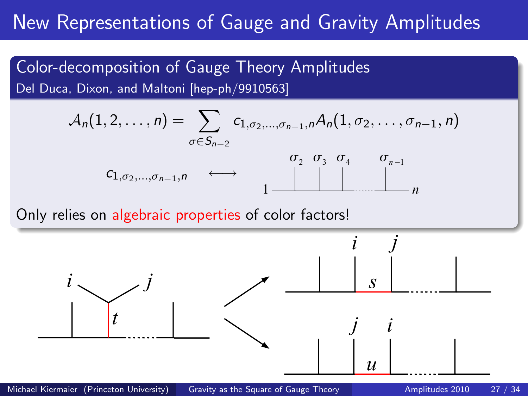# New Representations of Gauge and Gravity Amplitudes

Color-decomposition of Gauge Theory Amplitudes Del Duca, Dixon, and Maltoni [hep-ph/9910563]

$$
A_n(1,2,\ldots,n) = \sum_{\sigma \in S_{n-2}} c_{1,\sigma_2,\ldots,\sigma_{n-1},n} A_n(1,\sigma_2,\ldots,\sigma_{n-1},n)
$$

$$
c_{1,\sigma_2,\ldots,\sigma_{n-1},n} \longleftrightarrow \underbrace{\sigma_2 \quad \sigma_3 \quad \sigma_4 \quad \sigma_{n-1}}_{1 \longrightarrow \cdots \longrightarrow n} \underbrace{\sigma_2 \quad \sigma_3 \quad \sigma_4 \quad \sigma_{n-1}}_{n}
$$

Only relies on algebraic properties of color factors!

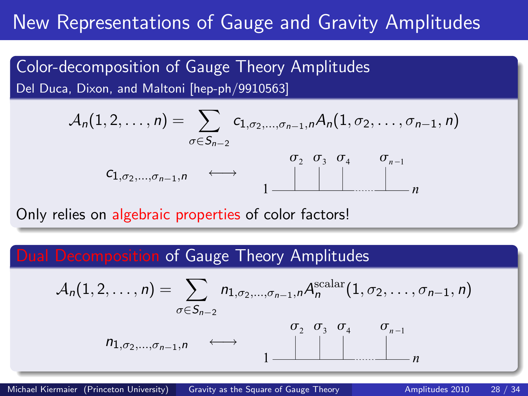## New Representations of Gauge and Gravity Amplitudes

Color-decomposition of Gauge Theory Amplitudes Del Duca, Dixon, and Maltoni [hep-ph/9910563]

$$
A_n(1,2,\ldots,n) = \sum_{\sigma \in S_{n-2}} c_{1,\sigma_2,\ldots,\sigma_{n-1},n} A_n(1,\sigma_2,\ldots,\sigma_{n-1},n)
$$

$$
c_{1,\sigma_2,\ldots,\sigma_{n-1},n} \longleftrightarrow \underbrace{\sigma_2 \quad \sigma_3 \quad \sigma_4 \quad \sigma_{n-1}}_{1 \longrightarrow \cdots \longrightarrow n} \underbrace{\sigma_2 \quad \sigma_3 \quad \sigma_4 \quad \sigma_{n-1}}_{n}
$$

Only relies on algebraic properties of color factors!

### Dual Decomposition of Gauge Theory Amplitudes

$$
A_n(1,2,\ldots,n) = \sum_{\sigma \in S_{n-2}} n_{1,\sigma_2,\ldots,\sigma_{n-1},n} A_n^{\text{scalar}}(1,\sigma_2,\ldots,\sigma_{n-1},n)
$$
  

$$
n_{1,\sigma_2,\ldots,\sigma_{n-1},n} \longleftrightarrow \underbrace{\sigma_2 \quad \sigma_3 \quad \sigma_4 \quad \sigma_{n-1}}_{1 \longrightarrow \cdots \longrightarrow n}
$$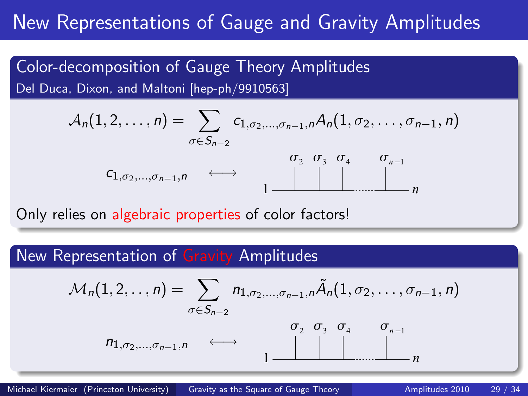## New Representations of Gauge and Gravity Amplitudes

Color-decomposition of Gauge Theory Amplitudes Del Duca, Dixon, and Maltoni [hep-ph/9910563]

$$
A_n(1,2,\ldots,n) = \sum_{\sigma \in S_{n-2}} c_{1,\sigma_2,\ldots,\sigma_{n-1},n} A_n(1,\sigma_2,\ldots,\sigma_{n-1},n)
$$

$$
c_{1,\sigma_2,\ldots,\sigma_{n-1},n} \longleftrightarrow \underbrace{\sigma_2 \quad \sigma_3 \quad \sigma_4 \quad \sigma_{n-1}}_{1 \longrightarrow \cdots \longrightarrow n} \underbrace{\sigma_2 \quad \sigma_3 \quad \sigma_4 \quad \sigma_{n-1}}_{n}
$$

Only relies on algebraic properties of color factors!

### New Representation of Gravity Amplitudes

$$
\mathcal{M}_n(1,2,\ldots,n) = \sum_{\sigma \in S_{n-2}} n_{1,\sigma_2,\ldots,\sigma_{n-1},n} \tilde{A}_n(1,\sigma_2,\ldots,\sigma_{n-1},n)
$$
\n
$$
n_{1,\sigma_2,\ldots,\sigma_{n-1},n} \longleftrightarrow \underbrace{\sigma_2 \quad \sigma_3 \quad \sigma_4 \quad \sigma_{n-1}}_{1 \longrightarrow \cdots \longrightarrow n} \underbrace{\sigma_2 \quad \sigma_3 \quad \sigma_4 \quad \sigma_{n-1}}_{n}
$$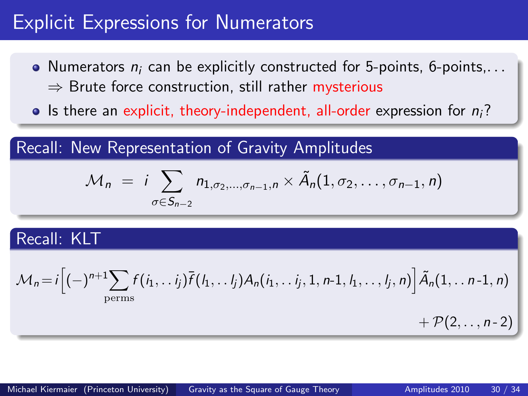## Explicit Expressions for Numerators

- Numerators  $n_i$  can be explicitly constructed for 5-points, 6-points,...  $\Rightarrow$  Brute force construction, still rather mysterious
- Is there an explicit, theory-independent, all-order expression for  $n_i$ ?

Recall: New Representation of Gravity Amplitudes

$$
\mathcal{M}_n = i \sum_{\sigma \in S_{n-2}} n_{1,\sigma_2,\ldots,\sigma_{n-1},n} \times \tilde{A}_n(1,\sigma_2,\ldots,\sigma_{n-1},n)
$$

## Recall: KLT

$$
\mathcal{M}_n = i \Big[ (-)^{n+1} \sum_{\text{perms}} f(i_1, \ldots i_j) \overline{f}(i_1, \ldots i_j) A_n(i_1, \ldots i_j, 1, n-1, i_1, \ldots, i_j, n) \Big] \widetilde{A}_n(1, \ldots n-1, n) + \mathcal{P}(2, \ldots, n-2)
$$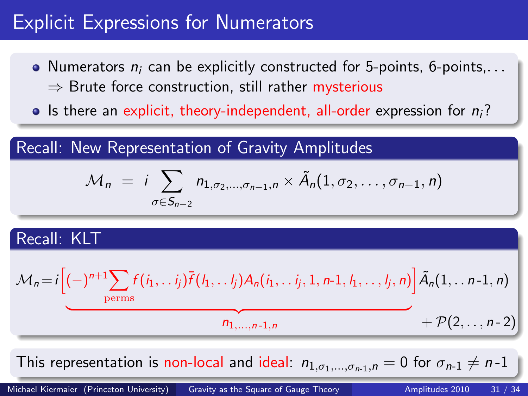## Explicit Expressions for Numerators

- Numerators  $n_i$  can be explicitly constructed for 5-points, 6-points,...  $\Rightarrow$  Brute force construction, still rather mysterious
- Is there an explicit, theory-independent, all-order expression for  $n_i$ ?

Recall: New Representation of Gravity Amplitudes

$$
\mathcal{M}_n = i \sum_{\sigma \in S_{n-2}} n_{1,\sigma_2,\ldots,\sigma_{n-1},n} \times \tilde{A}_n(1,\sigma_2,\ldots,\sigma_{n-1},n)
$$

## Recall: KLT

$$
\mathcal{M}_n = i \left[ (-)^{n+1} \sum_{\text{perms}} f(i_1, \ldots i_j) \overline{f}(i_1, \ldots i_j) A_n(i_1, \ldots i_j, 1, n-1, i_1, \ldots, i_j, n) \right] \widetilde{A}_n(1, \ldots n-1, n) + \mathcal{P}(2, \ldots, n-2)
$$

This representation is non-local and ideal:  $n_{1,\sigma_1,...,\sigma_{n-1},n} = 0$  for  $\sigma_{n-1} \neq n-1$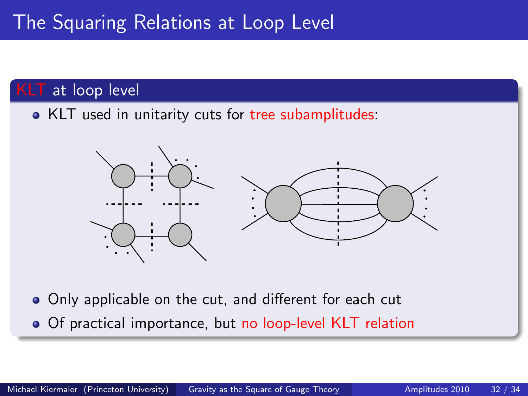## KLT at loop level

• KLT used in unitarity cuts for tree subamplitudes:



Only applicable on the cut, and different for each cut • Of practical importance, but no loop-level KLT relation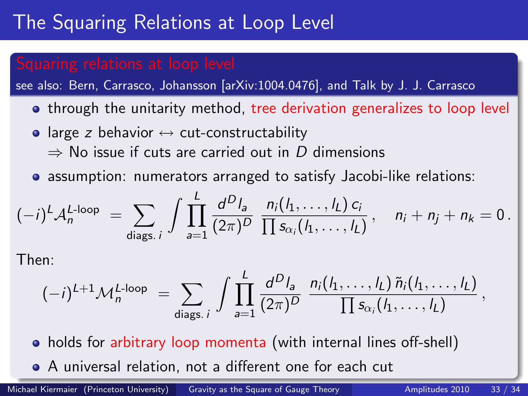# The Squaring Relations at Loop Level

see also: Bern, Carrasco, Johansson [arXiv:1004.0476], and Talk by J. J. Carrasco

- through the unitarity method, tree derivation generalizes to loop level
- large z behavior  $\leftrightarrow$  cut-constructability  $\Rightarrow$  No issue if cuts are carried out in D dimensions
- assumption: numerators arranged to satisfy Jacobi-like relations:

$$
(-i)^{L} A_{n}^{L\text{-loop}} = \sum_{\text{diags. } i} \int \prod_{a=1}^{L} \frac{d^{D} l_{a}}{(2\pi)^{D}} \frac{n_{i}(l_{1}, \ldots, l_{L}) c_{i}}{\prod s_{\alpha_{i}}(l_{1}, \ldots, l_{L})}, \quad n_{i} + n_{j} + n_{k} = 0.
$$

Then:

$$
(-i)^{L+1}\mathcal{M}_n^{L\text{-loop}} = \sum_{\text{diags. }i} \int \prod_{a=1}^L \frac{d^Dl_a}{(2\pi)^D} \frac{n_i(l_1,\ldots,l_L)\tilde{n}_i(l_1,\ldots,l_L)}{\prod s_{\alpha_i}(l_1,\ldots,l_L)},
$$

- holds for arbitrary loop momenta (with internal lines off-shell)
- A universal relation, not a different one for each cut